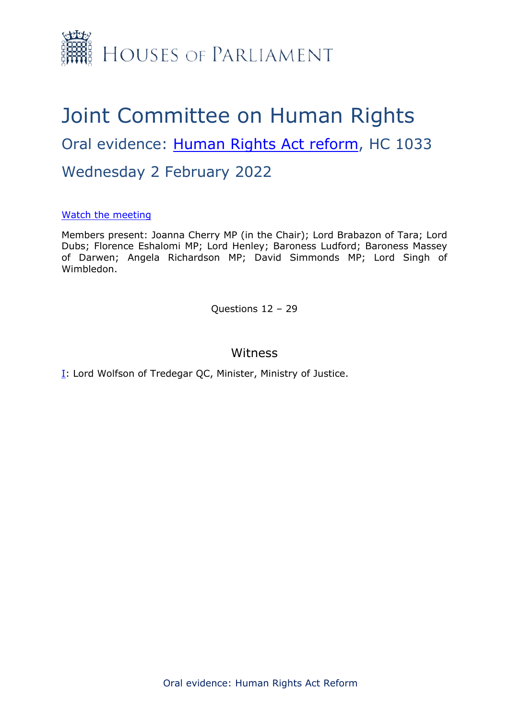

# Joint Committee on Human Rights Oral evidence: [Human](https://committees.parliament.uk/work/6404/human-rights-act-reform/) [Rights](https://committees.parliament.uk/work/6404/human-rights-act-reform/) [Act](https://committees.parliament.uk/work/6404/human-rights-act-reform/) [reform](https://committees.parliament.uk/work/6404/human-rights-act-reform/), HC 1033 Wednesday 2 February 2022

# [Watch](https://parliamentlive.tv/event/index/0ccec818-744a-4c6c-b9b5-bed088eb1d23) [the](https://parliamentlive.tv/event/index/0ccec818-744a-4c6c-b9b5-bed088eb1d23) [meeting](https://parliamentlive.tv/event/index/0ccec818-744a-4c6c-b9b5-bed088eb1d23)

Members present: Joanna Cherry MP (in the Chair); Lord Brabazon of Tara; Lord Dubs; Florence Eshalomi MP; Lord Henley; Baroness Ludford; Baroness Massey of Darwen; Angela Richardson MP; David Simmonds MP; Lord Singh of Wimbledon.

Questions 12 – 29

# Witness

[I:](#page-1-0) Lord Wolfson of Tredegar QC, Minister, Ministry of Justice.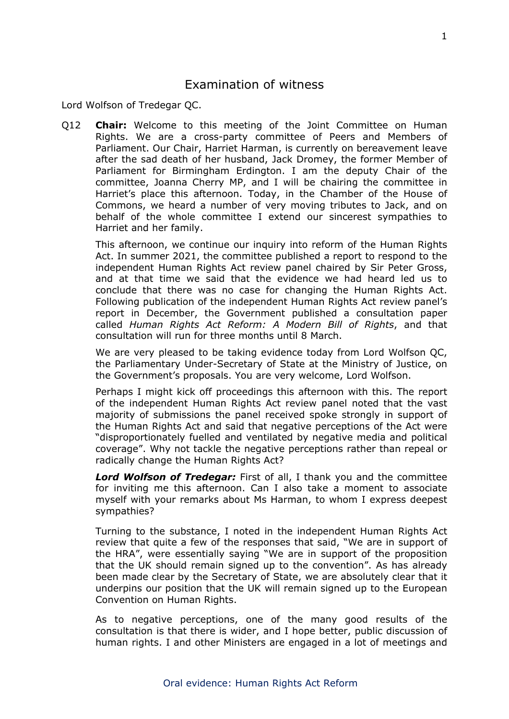# <span id="page-1-0"></span>Examination of witness

Lord Wolfson of Tredegar QC.

Q12 **Chair:** Welcome to this meeting of the Joint Committee on Human Rights. We are a cross-party committee of Peers and Members of Parliament. Our Chair, Harriet Harman, is currently on bereavement leave after the sad death of her husband, Jack Dromey, the former Member of Parliament for Birmingham Erdington. I am the deputy Chair of the committee, Joanna Cherry MP, and I will be chairing the committee in Harriet's place this afternoon. Today, in the Chamber of the House of Commons, we heard a number of very moving tributes to Jack, and on behalf of the whole committee I extend our sincerest sympathies to Harriet and her family.

This afternoon, we continue our inquiry into reform of the Human Rights Act. In summer 2021, the committee published a report to respond to the independent Human Rights Act review panel chaired by Sir Peter Gross, and at that time we said that the evidence we had heard led us to conclude that there was no case for changing the Human Rights Act. Following publication of the independent Human Rights Act review panel's report in December, the Government published a consultation paper called *Human Rights Act Reform: A Modern Bill of Rights*, and that consultation will run for three months until 8 March.

We are very pleased to be taking evidence today from Lord Wolfson QC, the Parliamentary Under-Secretary of State at the Ministry of Justice, on the Government's proposals. You are very welcome, Lord Wolfson.

Perhaps I might kick off proceedings this afternoon with this. The report of the independent Human Rights Act review panel noted that the vast majority of submissions the panel received spoke strongly in support of the Human Rights Act and said that negative perceptions of the Act were "disproportionately fuelled and ventilated by negative media and political coverage". Why not tackle the negative perceptions rather than repeal or radically change the Human Rights Act?

*Lord Wolfson of Tredegar:* First of all, I thank you and the committee for inviting me this afternoon. Can I also take a moment to associate myself with your remarks about Ms Harman, to whom I express deepest sympathies?

Turning to the substance, I noted in the independent Human Rights Act review that quite a few of the responses that said, "We are in support of the HRA", were essentially saying "We are in support of the proposition that the UK should remain signed up to the convention". As has already been made clear by the Secretary of State, we are absolutely clear that it underpins our position that the UK will remain signed up to the European Convention on Human Rights.

As to negative perceptions, one of the many good results of the consultation is that there is wider, and I hope better, public discussion of human rights. I and other Ministers are engaged in a lot of meetings and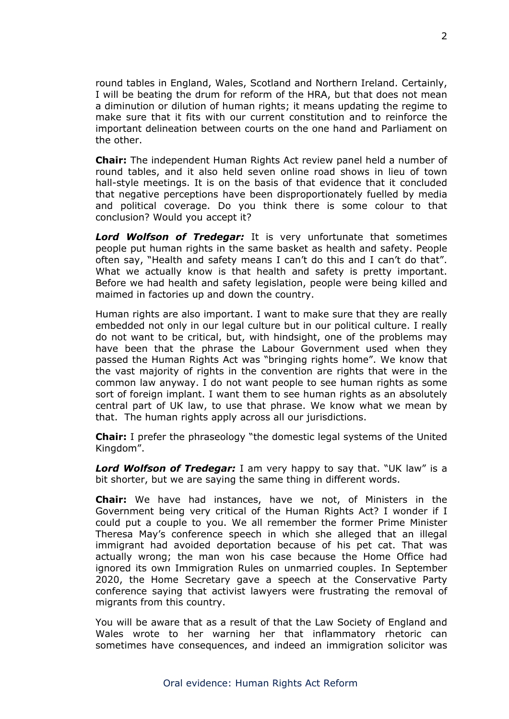round tables in England, Wales, Scotland and Northern Ireland. Certainly, I will be beating the drum for reform of the HRA, but that does not mean a diminution or dilution of human rights; it means updating the regime to make sure that it fits with our current constitution and to reinforce the important delineation between courts on the one hand and Parliament on the other.

**Chair:** The independent Human Rights Act review panel held a number of round tables, and it also held seven online road shows in lieu of town hall-style meetings. It is on the basis of that evidence that it concluded that negative perceptions have been disproportionately fuelled by media and political coverage. Do you think there is some colour to that conclusion? Would you accept it?

*Lord Wolfson of Tredegar:* It is very unfortunate that sometimes people put human rights in the same basket as health and safety. People often say, "Health and safety means I can't do this and I can't do that". What we actually know is that health and safety is pretty important. Before we had health and safety legislation, people were being killed and maimed in factories up and down the country.

Human rights are also important. I want to make sure that they are really embedded not only in our legal culture but in our political culture. I really do not want to be critical, but, with hindsight, one of the problems may have been that the phrase the Labour Government used when they passed the Human Rights Act was "bringing rights home". We know that the vast majority of rights in the convention are rights that were in the common law anyway. I do not want people to see human rights as some sort of foreign implant. I want them to see human rights as an absolutely central part of UK law, to use that phrase. We know what we mean by that. The human rights apply across all our jurisdictions.

**Chair:** I prefer the phraseology "the domestic legal systems of the United Kingdom".

*Lord Wolfson of Tredegar:* I am very happy to say that. "UK law" is a bit shorter, but we are saying the same thing in different words.

**Chair:** We have had instances, have we not, of Ministers in the Government being very critical of the Human Rights Act? I wonder if I could put a couple to you. We all remember the former Prime Minister Theresa May's conference speech in which she alleged that an illegal immigrant had avoided deportation because of his pet cat. That was actually wrong; the man won his case because the Home Office had ignored its own Immigration Rules on unmarried couples. In September 2020, the Home Secretary gave a speech at the Conservative Party conference saying that activist lawyers were frustrating the removal of migrants from this country.

You will be aware that as a result of that the Law Society of England and Wales wrote to her warning her that inflammatory rhetoric can sometimes have consequences, and indeed an immigration solicitor was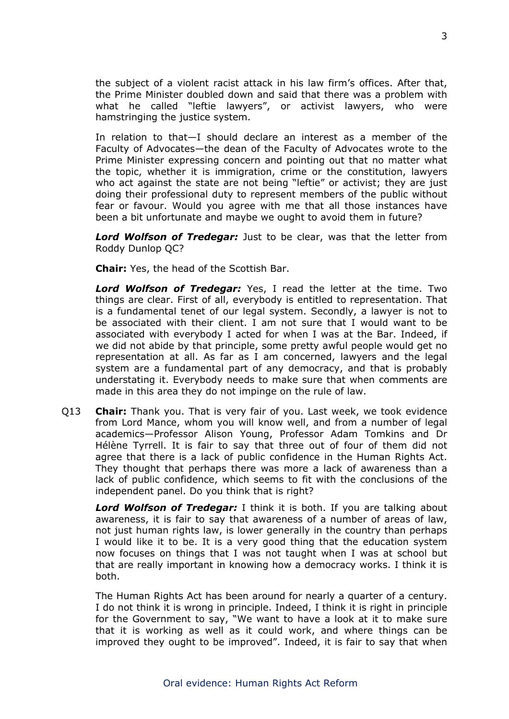the subject of a violent racist attack in his law firm's offices. After that, the Prime Minister doubled down and said that there was a problem with what he called "leftie lawyers", or activist lawyers, who were hamstringing the justice system.

In relation to that—I should declare an interest as a member of the Faculty of Advocates—the dean of the Faculty of Advocates wrote to the Prime Minister expressing concern and pointing out that no matter what the topic, whether it is immigration, crime or the constitution, lawyers who act against the state are not being "leftie" or activist; they are just doing their professional duty to represent members of the public without fear or favour. Would you agree with me that all those instances have been a bit unfortunate and maybe we ought to avoid them in future?

*Lord Wolfson of Tredegar:* Just to be clear, was that the letter from Roddy Dunlop QC?

**Chair:** Yes, the head of the Scottish Bar.

*Lord Wolfson of Tredegar:* Yes, I read the letter at the time. Two things are clear. First of all, everybody is entitled to representation. That is a fundamental tenet of our legal system. Secondly, a lawyer is not to be associated with their client. I am not sure that I would want to be associated with everybody I acted for when I was at the Bar. Indeed, if we did not abide by that principle, some pretty awful people would get no representation at all. As far as I am concerned, lawyers and the legal system are a fundamental part of any democracy, and that is probably understating it. Everybody needs to make sure that when comments are made in this area they do not impinge on the rule of law.

Q13 **Chair:** Thank you. That is very fair of you. Last week, we took evidence from Lord Mance, whom you will know well, and from a number of legal academics—Professor Alison Young, Professor Adam Tomkins and Dr Hélène Tyrrell. It is fair to say that three out of four of them did not agree that there is a lack of public confidence in the Human Rights Act. They thought that perhaps there was more a lack of awareness than a lack of public confidence, which seems to fit with the conclusions of the independent panel. Do you think that is right?

*Lord Wolfson of Tredegar:* I think it is both. If you are talking about awareness, it is fair to say that awareness of a number of areas of law, not just human rights law, is lower generally in the country than perhaps I would like it to be. It is a very good thing that the education system now focuses on things that I was not taught when I was at school but that are really important in knowing how a democracy works. I think it is both.

The Human Rights Act has been around for nearly a quarter of a century. I do not think it is wrong in principle. Indeed, I think it is right in principle for the Government to say, "We want to have a look at it to make sure that it is working as well as it could work, and where things can be improved they ought to be improved". Indeed, it is fair to say that when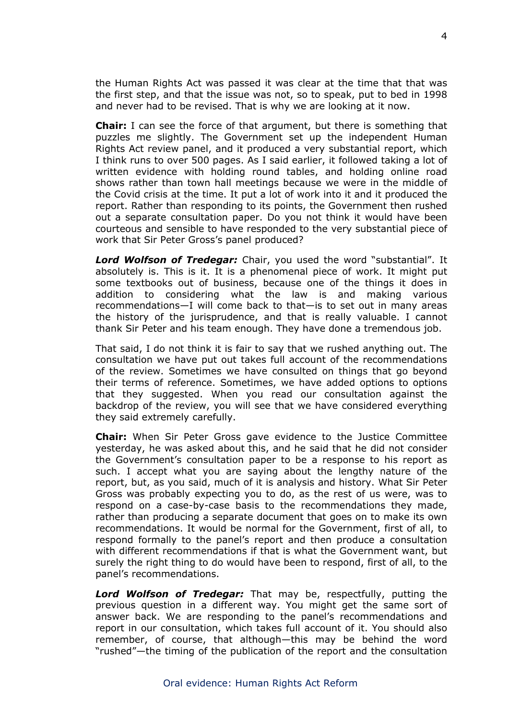the Human Rights Act was passed it was clear at the time that that was the first step, and that the issue was not, so to speak, put to bed in 1998 and never had to be revised. That is why we are looking at it now.

**Chair:** I can see the force of that argument, but there is something that puzzles me slightly. The Government set up the independent Human Rights Act review panel, and it produced a very substantial report, which I think runs to over 500 pages. As I said earlier, it followed taking a lot of written evidence with holding round tables, and holding online road shows rather than town hall meetings because we were in the middle of the Covid crisis at the time. It put a lot of work into it and it produced the report. Rather than responding to its points, the Government then rushed out a separate consultation paper. Do you not think it would have been courteous and sensible to have responded to the very substantial piece of work that Sir Peter Gross's panel produced?

*Lord Wolfson of Tredegar:* Chair, you used the word "substantial". It absolutely is. This is it. It is a phenomenal piece of work. It might put some textbooks out of business, because one of the things it does in addition to considering what the law is and making various recommendations—I will come back to that—is to set out in many areas the history of the jurisprudence, and that is really valuable. I cannot thank Sir Peter and his team enough. They have done a tremendous job.

That said, I do not think it is fair to say that we rushed anything out. The consultation we have put out takes full account of the recommendations of the review. Sometimes we have consulted on things that go beyond their terms of reference. Sometimes, we have added options to options that they suggested. When you read our consultation against the backdrop of the review, you will see that we have considered everything they said extremely carefully.

**Chair:** When Sir Peter Gross gave evidence to the Justice Committee yesterday, he was asked about this, and he said that he did not consider the Government's consultation paper to be a response to his report as such. I accept what you are saying about the lengthy nature of the report, but, as you said, much of it is analysis and history. What Sir Peter Gross was probably expecting you to do, as the rest of us were, was to respond on a case-by-case basis to the recommendations they made, rather than producing a separate document that goes on to make its own recommendations. It would be normal for the Government, first of all, to respond formally to the panel's report and then produce a consultation with different recommendations if that is what the Government want, but surely the right thing to do would have been to respond, first of all, to the panel's recommendations.

*Lord Wolfson of Tredegar:* That may be, respectfully, putting the previous question in a different way. You might get the same sort of answer back. We are responding to the panel's recommendations and report in our consultation, which takes full account of it. You should also remember, of course, that although—this may be behind the word "rushed"—the timing of the publication of the report and the consultation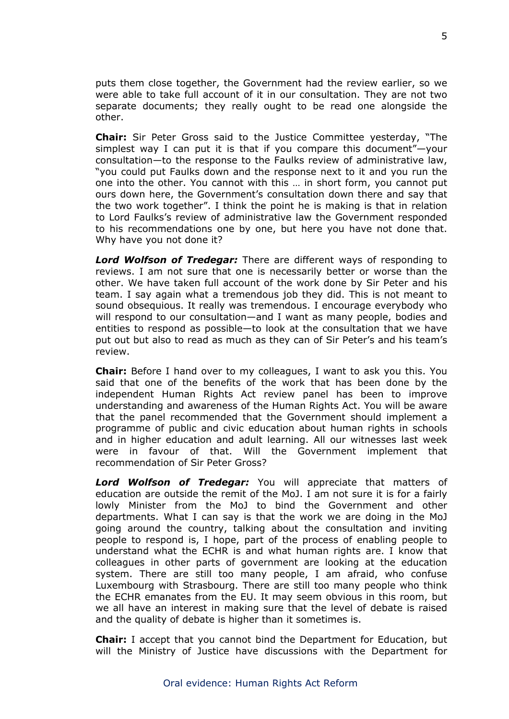puts them close together, the Government had the review earlier, so we were able to take full account of it in our consultation. They are not two separate documents; they really ought to be read one alongside the other.

**Chair:** Sir Peter Gross said to the Justice Committee yesterday, "The simplest way I can put it is that if you compare this document"—your consultation—to the response to the Faulks review of administrative law, "you could put Faulks down and the response next to it and you run the one into the other. You cannot with this … in short form, you cannot put ours down here, the Government's consultation down there and say that the two work together". I think the point he is making is that in relation to Lord Faulks's review of administrative law the Government responded to his recommendations one by one, but here you have not done that. Why have you not done it?

*Lord Wolfson of Tredegar:* There are different ways of responding to reviews. I am not sure that one is necessarily better or worse than the other. We have taken full account of the work done by Sir Peter and his team. I say again what a tremendous job they did. This is not meant to sound obsequious. It really was tremendous. I encourage everybody who will respond to our consultation—and I want as many people, bodies and entities to respond as possible—to look at the consultation that we have put out but also to read as much as they can of Sir Peter's and his team's review.

**Chair:** Before I hand over to my colleagues, I want to ask you this. You said that one of the benefits of the work that has been done by the independent Human Rights Act review panel has been to improve understanding and awareness of the Human Rights Act. You will be aware that the panel recommended that the Government should implement a programme of public and civic education about human rights in schools and in higher education and adult learning. All our witnesses last week were in favour of that. Will the Government implement that recommendation of Sir Peter Gross?

*Lord Wolfson of Tredegar:* You will appreciate that matters of education are outside the remit of the MoJ. I am not sure it is for a fairly lowly Minister from the MoJ to bind the Government and other departments. What I can say is that the work we are doing in the MoJ going around the country, talking about the consultation and inviting people to respond is, I hope, part of the process of enabling people to understand what the ECHR is and what human rights are. I know that colleagues in other parts of government are looking at the education system. There are still too many people, I am afraid, who confuse Luxembourg with Strasbourg. There are still too many people who think the ECHR emanates from the EU. It may seem obvious in this room, but we all have an interest in making sure that the level of debate is raised and the quality of debate is higher than it sometimes is.

**Chair:** I accept that you cannot bind the Department for Education, but will the Ministry of Justice have discussions with the Department for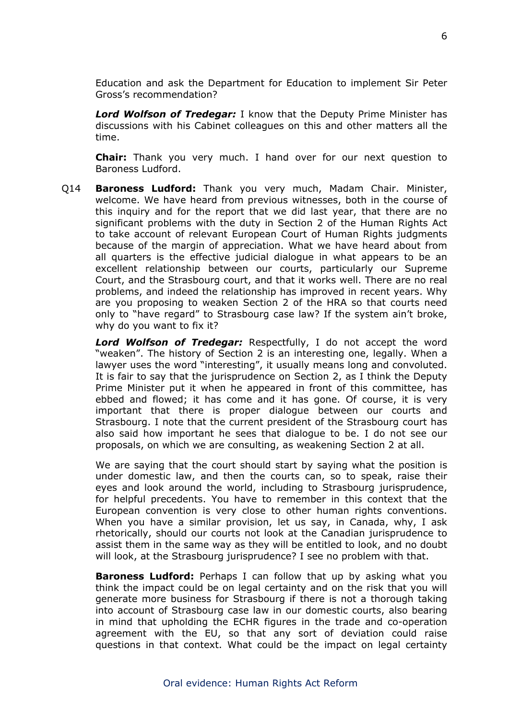Education and ask the Department for Education to implement Sir Peter Gross's recommendation?

*Lord Wolfson of Tredegar:* I know that the Deputy Prime Minister has discussions with his Cabinet colleagues on this and other matters all the time.

**Chair:** Thank you very much. I hand over for our next question to Baroness Ludford.

Q14 **Baroness Ludford:** Thank you very much, Madam Chair. Minister, welcome. We have heard from previous witnesses, both in the course of this inquiry and for the report that we did last year, that there are no significant problems with the duty in Section 2 of the Human Rights Act to take account of relevant European Court of Human Rights judgments because of the margin of appreciation. What we have heard about from all quarters is the effective judicial dialogue in what appears to be an excellent relationship between our courts, particularly our Supreme Court, and the Strasbourg court, and that it works well. There are no real problems, and indeed the relationship has improved in recent years. Why are you proposing to weaken Section 2 of the HRA so that courts need only to "have regard" to Strasbourg case law? If the system ain't broke, why do you want to fix it?

*Lord Wolfson of Tredegar:* Respectfully, I do not accept the word "weaken". The history of Section 2 is an interesting one, legally. When a lawyer uses the word "interesting", it usually means long and convoluted. It is fair to say that the jurisprudence on Section 2, as I think the Deputy Prime Minister put it when he appeared in front of this committee, has ebbed and flowed; it has come and it has gone. Of course, it is very important that there is proper dialogue between our courts and Strasbourg. I note that the current president of the Strasbourg court has also said how important he sees that dialogue to be. I do not see our proposals, on which we are consulting, as weakening Section 2 at all.

We are saying that the court should start by saying what the position is under domestic law, and then the courts can, so to speak, raise their eyes and look around the world, including to Strasbourg jurisprudence, for helpful precedents. You have to remember in this context that the European convention is very close to other human rights conventions. When you have a similar provision, let us say, in Canada, why, I ask rhetorically, should our courts not look at the Canadian jurisprudence to assist them in the same way as they will be entitled to look, and no doubt will look, at the Strasbourg jurisprudence? I see no problem with that.

**Baroness Ludford:** Perhaps I can follow that up by asking what you think the impact could be on legal certainty and on the risk that you will generate more business for Strasbourg if there is not a thorough taking into account of Strasbourg case law in our domestic courts, also bearing in mind that upholding the ECHR figures in the trade and co-operation agreement with the EU, so that any sort of deviation could raise questions in that context. What could be the impact on legal certainty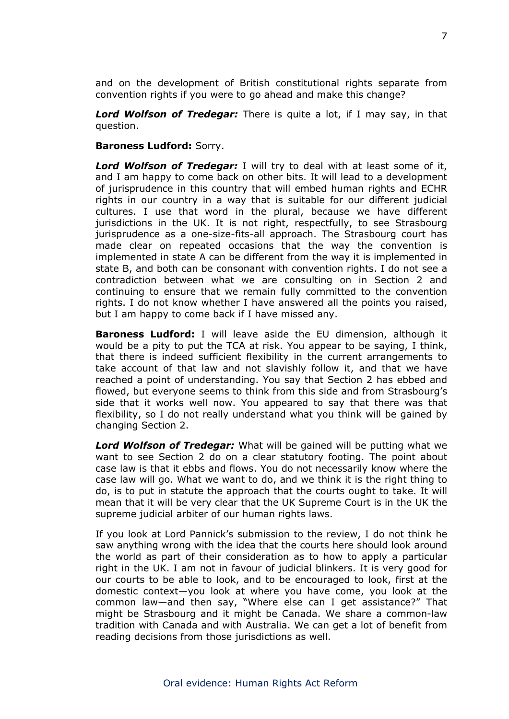and on the development of British constitutional rights separate from convention rights if you were to go ahead and make this change?

*Lord Wolfson of Tredegar:* There is quite a lot, if I may say, in that question.

#### **Baroness Ludford:** Sorry.

*Lord Wolfson of Tredegar:* I will try to deal with at least some of it, and I am happy to come back on other bits. It will lead to a development of jurisprudence in this country that will embed human rights and ECHR rights in our country in a way that is suitable for our different judicial cultures. I use that word in the plural, because we have different jurisdictions in the UK. It is not right, respectfully, to see Strasbourg jurisprudence as a one-size-fits-all approach. The Strasbourg court has made clear on repeated occasions that the way the convention is implemented in state A can be different from the way it is implemented in state B, and both can be consonant with convention rights. I do not see a contradiction between what we are consulting on in Section 2 and continuing to ensure that we remain fully committed to the convention rights. I do not know whether I have answered all the points you raised, but I am happy to come back if I have missed any.

**Baroness Ludford:** I will leave aside the EU dimension, although it would be a pity to put the TCA at risk. You appear to be saying, I think, that there is indeed sufficient flexibility in the current arrangements to take account of that law and not slavishly follow it, and that we have reached a point of understanding. You say that Section 2 has ebbed and flowed, but everyone seems to think from this side and from Strasbourg's side that it works well now. You appeared to say that there was that flexibility, so I do not really understand what you think will be gained by changing Section 2.

*Lord Wolfson of Tredegar:* What will be gained will be putting what we want to see Section 2 do on a clear statutory footing. The point about case law is that it ebbs and flows. You do not necessarily know where the case law will go. What we want to do, and we think it is the right thing to do, is to put in statute the approach that the courts ought to take. It will mean that it will be very clear that the UK Supreme Court is in the UK the supreme judicial arbiter of our human rights laws.

If you look at Lord Pannick's submission to the review, I do not think he saw anything wrong with the idea that the courts here should look around the world as part of their consideration as to how to apply a particular right in the UK. I am not in favour of judicial blinkers. It is very good for our courts to be able to look, and to be encouraged to look, first at the domestic context—you look at where you have come, you look at the common law—and then say, "Where else can I get assistance?" That might be Strasbourg and it might be Canada. We share a common-law tradition with Canada and with Australia. We can get a lot of benefit from reading decisions from those jurisdictions as well.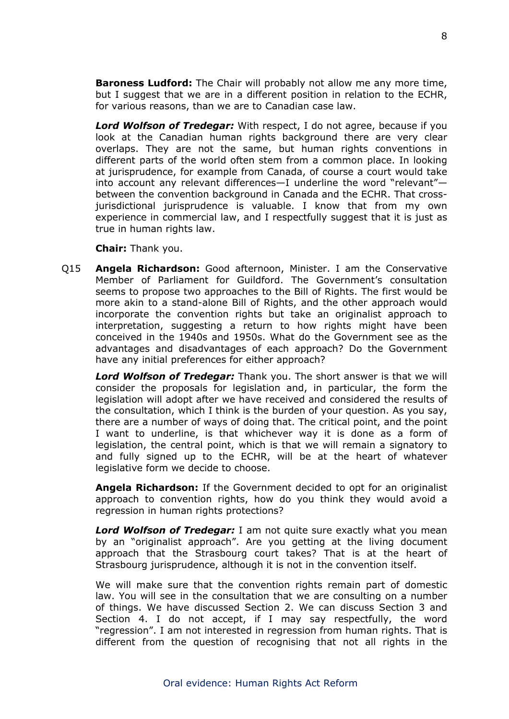**Baroness Ludford:** The Chair will probably not allow me any more time, but I suggest that we are in a different position in relation to the ECHR, for various reasons, than we are to Canadian case law.

*Lord Wolfson of Tredegar:* With respect, I do not agree, because if you look at the Canadian human rights background there are very clear overlaps. They are not the same, but human rights conventions in different parts of the world often stem from a common place. In looking at jurisprudence, for example from Canada, of course a court would take into account any relevant differences—I underline the word "relevant" between the convention background in Canada and the ECHR. That crossjurisdictional jurisprudence is valuable. I know that from my own experience in commercial law, and I respectfully suggest that it is just as true in human rights law.

**Chair:** Thank you.

Q15 **Angela Richardson:** Good afternoon, Minister. I am the Conservative Member of Parliament for Guildford. The Government's consultation seems to propose two approaches to the Bill of Rights. The first would be more akin to a stand-alone Bill of Rights, and the other approach would incorporate the convention rights but take an originalist approach to interpretation, suggesting a return to how rights might have been conceived in the 1940s and 1950s. What do the Government see as the advantages and disadvantages of each approach? Do the Government have any initial preferences for either approach?

*Lord Wolfson of Tredegar:* Thank you. The short answer is that we will consider the proposals for legislation and, in particular, the form the legislation will adopt after we have received and considered the results of the consultation, which I think is the burden of your question. As you say, there are a number of ways of doing that. The critical point, and the point I want to underline, is that whichever way it is done as a form of legislation, the central point, which is that we will remain a signatory to and fully signed up to the ECHR, will be at the heart of whatever legislative form we decide to choose.

**Angela Richardson:** If the Government decided to opt for an originalist approach to convention rights, how do you think they would avoid a regression in human rights protections?

*Lord Wolfson of Tredegar:* I am not quite sure exactly what you mean by an "originalist approach". Are you getting at the living document approach that the Strasbourg court takes? That is at the heart of Strasbourg jurisprudence, although it is not in the convention itself.

We will make sure that the convention rights remain part of domestic law. You will see in the consultation that we are consulting on a number of things. We have discussed Section 2. We can discuss Section 3 and Section 4. I do not accept, if I may say respectfully, the word "regression". I am not interested in regression from human rights. That is different from the question of recognising that not all rights in the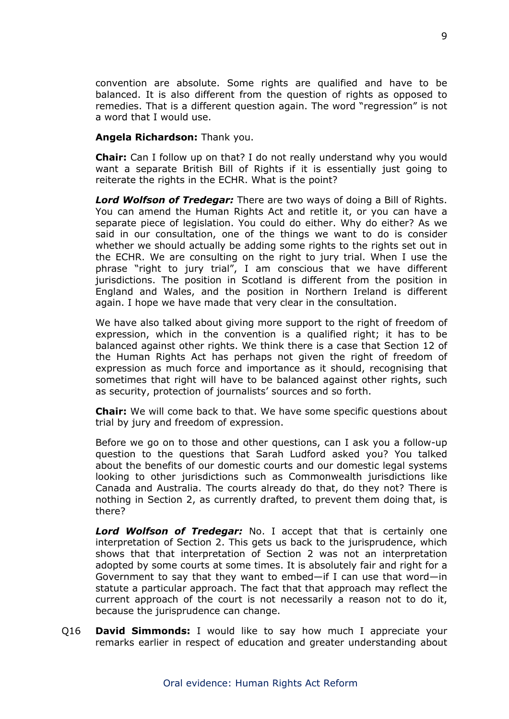convention are absolute. Some rights are qualified and have to be balanced. It is also different from the question of rights as opposed to remedies. That is a different question again. The word "regression" is not a word that I would use.

## **Angela Richardson:** Thank you.

**Chair:** Can I follow up on that? I do not really understand why you would want a separate British Bill of Rights if it is essentially just going to reiterate the rights in the ECHR. What is the point?

*Lord Wolfson of Tredegar:* There are two ways of doing a Bill of Rights. You can amend the Human Rights Act and retitle it, or you can have a separate piece of legislation. You could do either. Why do either? As we said in our consultation, one of the things we want to do is consider whether we should actually be adding some rights to the rights set out in the ECHR. We are consulting on the right to jury trial. When I use the phrase "right to jury trial", I am conscious that we have different jurisdictions. The position in Scotland is different from the position in England and Wales, and the position in Northern Ireland is different again. I hope we have made that very clear in the consultation.

We have also talked about giving more support to the right of freedom of expression, which in the convention is a qualified right; it has to be balanced against other rights. We think there is a case that Section 12 of the Human Rights Act has perhaps not given the right of freedom of expression as much force and importance as it should, recognising that sometimes that right will have to be balanced against other rights, such as security, protection of journalists' sources and so forth.

**Chair:** We will come back to that. We have some specific questions about trial by jury and freedom of expression.

Before we go on to those and other questions, can I ask you a follow-up question to the questions that Sarah Ludford asked you? You talked about the benefits of our domestic courts and our domestic legal systems looking to other jurisdictions such as Commonwealth jurisdictions like Canada and Australia. The courts already do that, do they not? There is nothing in Section 2, as currently drafted, to prevent them doing that, is there?

*Lord Wolfson of Tredegar:* No. I accept that that is certainly one interpretation of Section 2. This gets us back to the jurisprudence, which shows that that interpretation of Section 2 was not an interpretation adopted by some courts at some times. It is absolutely fair and right for a Government to say that they want to embed—if I can use that word—in statute a particular approach. The fact that that approach may reflect the current approach of the court is not necessarily a reason not to do it, because the jurisprudence can change.

Q16 **David Simmonds:** I would like to say how much I appreciate your remarks earlier in respect of education and greater understanding about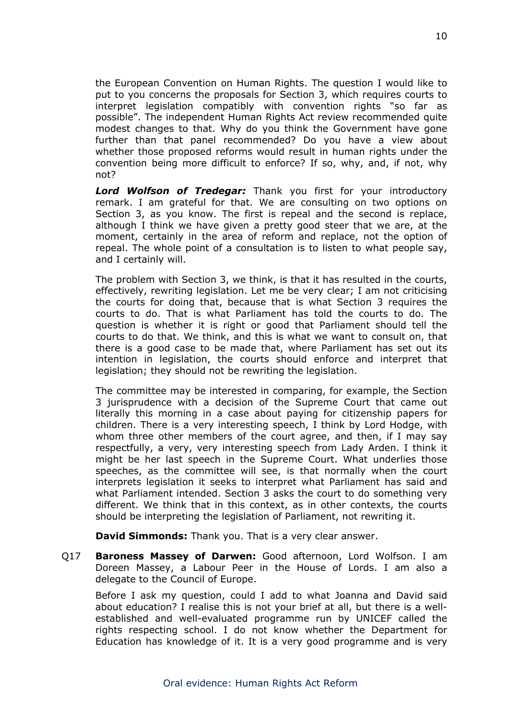the European Convention on Human Rights. The question I would like to put to you concerns the proposals for Section 3, which requires courts to interpret legislation compatibly with convention rights "so far as possible". The independent Human Rights Act review recommended quite modest changes to that. Why do you think the Government have gone further than that panel recommended? Do you have a view about whether those proposed reforms would result in human rights under the convention being more difficult to enforce? If so, why, and, if not, why not?

*Lord Wolfson of Tredegar:* Thank you first for your introductory remark. I am grateful for that. We are consulting on two options on Section 3, as you know. The first is repeal and the second is replace, although I think we have given a pretty good steer that we are, at the moment, certainly in the area of reform and replace, not the option of repeal. The whole point of a consultation is to listen to what people say, and I certainly will.

The problem with Section 3, we think, is that it has resulted in the courts, effectively, rewriting legislation. Let me be very clear; I am not criticising the courts for doing that, because that is what Section 3 requires the courts to do. That is what Parliament has told the courts to do. The question is whether it is right or good that Parliament should tell the courts to do that. We think, and this is what we want to consult on, that there is a good case to be made that, where Parliament has set out its intention in legislation, the courts should enforce and interpret that legislation; they should not be rewriting the legislation.

The committee may be interested in comparing, for example, the Section 3 jurisprudence with a decision of the Supreme Court that came out literally this morning in a case about paying for citizenship papers for children. There is a very interesting speech, I think by Lord Hodge, with whom three other members of the court agree, and then, if I may say respectfully, a very, very interesting speech from Lady Arden. I think it might be her last speech in the Supreme Court. What underlies those speeches, as the committee will see, is that normally when the court interprets legislation it seeks to interpret what Parliament has said and what Parliament intended. Section 3 asks the court to do something very different. We think that in this context, as in other contexts, the courts should be interpreting the legislation of Parliament, not rewriting it.

**David Simmonds:** Thank you. That is a very clear answer.

Q17 **Baroness Massey of Darwen:** Good afternoon, Lord Wolfson. I am Doreen Massey, a Labour Peer in the House of Lords. I am also a delegate to the Council of Europe.

Before I ask my question, could I add to what Joanna and David said about education? I realise this is not your brief at all, but there is a wellestablished and well-evaluated programme run by UNICEF called the rights respecting school. I do not know whether the Department for Education has knowledge of it. It is a very good programme and is very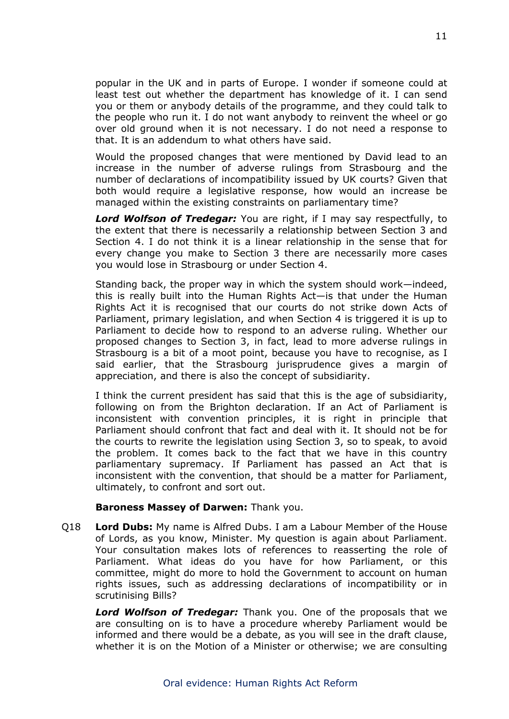popular in the UK and in parts of Europe. I wonder if someone could at least test out whether the department has knowledge of it. I can send you or them or anybody details of the programme, and they could talk to the people who run it. I do not want anybody to reinvent the wheel or go over old ground when it is not necessary. I do not need a response to that. It is an addendum to what others have said.

Would the proposed changes that were mentioned by David lead to an increase in the number of adverse rulings from Strasbourg and the number of declarations of incompatibility issued by UK courts? Given that both would require a legislative response, how would an increase be managed within the existing constraints on parliamentary time?

*Lord Wolfson of Tredegar:* You are right, if I may say respectfully, to the extent that there is necessarily a relationship between Section 3 and Section 4. I do not think it is a linear relationship in the sense that for every change you make to Section 3 there are necessarily more cases you would lose in Strasbourg or under Section 4.

Standing back, the proper way in which the system should work—indeed, this is really built into the Human Rights Act—is that under the Human Rights Act it is recognised that our courts do not strike down Acts of Parliament, primary legislation, and when Section 4 is triggered it is up to Parliament to decide how to respond to an adverse ruling. Whether our proposed changes to Section 3, in fact, lead to more adverse rulings in Strasbourg is a bit of a moot point, because you have to recognise, as I said earlier, that the Strasbourg jurisprudence gives a margin of appreciation, and there is also the concept of subsidiarity.

I think the current president has said that this is the age of subsidiarity, following on from the Brighton declaration. If an Act of Parliament is inconsistent with convention principles, it is right in principle that Parliament should confront that fact and deal with it. It should not be for the courts to rewrite the legislation using Section 3, so to speak, to avoid the problem. It comes back to the fact that we have in this country parliamentary supremacy. If Parliament has passed an Act that is inconsistent with the convention, that should be a matter for Parliament, ultimately, to confront and sort out.

## **Baroness Massey of Darwen:** Thank you.

Q18 **Lord Dubs:** My name is Alfred Dubs. I am a Labour Member of the House of Lords, as you know, Minister. My question is again about Parliament. Your consultation makes lots of references to reasserting the role of Parliament. What ideas do you have for how Parliament, or this committee, might do more to hold the Government to account on human rights issues, such as addressing declarations of incompatibility or in scrutinising Bills?

*Lord Wolfson of Tredegar:* Thank you. One of the proposals that we are consulting on is to have a procedure whereby Parliament would be informed and there would be a debate, as you will see in the draft clause, whether it is on the Motion of a Minister or otherwise; we are consulting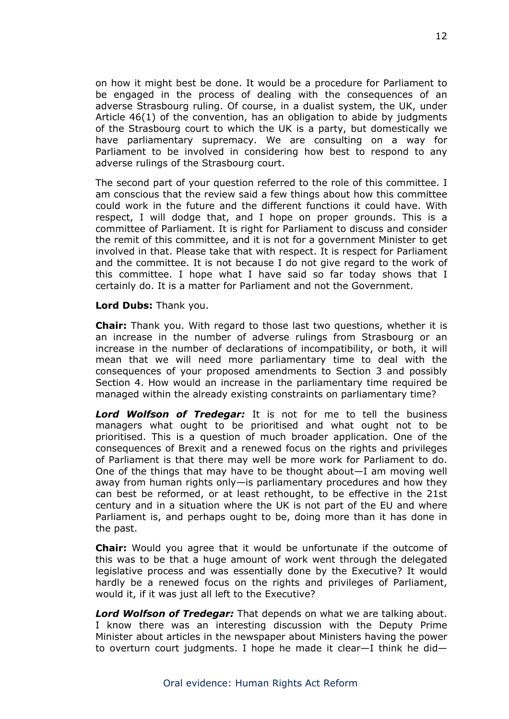on how it might best be done. It would be a procedure for Parliament to be engaged in the process of dealing with the consequences of an adverse Strasbourg ruling. Of course, in a dualist system, the UK, under Article 46(1) of the convention, has an obligation to abide by judgments of the Strasbourg court to which the UK is a party, but domestically we have parliamentary supremacy. We are consulting on a way for Parliament to be involved in considering how best to respond to any adverse rulings of the Strasbourg court.

The second part of your question referred to the role of this committee. I am conscious that the review said a few things about how this committee could work in the future and the different functions it could have. With respect, I will dodge that, and I hope on proper grounds. This is a committee of Parliament. It is right for Parliament to discuss and consider the remit of this committee, and it is not for a government Minister to get involved in that. Please take that with respect. It is respect for Parliament and the committee. It is not because I do not give regard to the work of this committee. I hope what I have said so far today shows that I certainly do. It is a matter for Parliament and not the Government.

### **Lord Dubs:** Thank you.

**Chair:** Thank you. With regard to those last two questions, whether it is an increase in the number of adverse rulings from Strasbourg or an increase in the number of declarations of incompatibility, or both, it will mean that we will need more parliamentary time to deal with the consequences of your proposed amendments to Section 3 and possibly Section 4. How would an increase in the parliamentary time required be managed within the already existing constraints on parliamentary time?

*Lord Wolfson of Tredegar:* It is not for me to tell the business managers what ought to be prioritised and what ought not to be prioritised. This is a question of much broader application. One of the consequences of Brexit and a renewed focus on the rights and privileges of Parliament is that there may well be more work for Parliament to do. One of the things that may have to be thought about—I am moving well away from human rights only—is parliamentary procedures and how they can best be reformed, or at least rethought, to be effective in the 21st century and in a situation where the UK is not part of the EU and where Parliament is, and perhaps ought to be, doing more than it has done in the past.

**Chair:** Would you agree that it would be unfortunate if the outcome of this was to be that a huge amount of work went through the delegated legislative process and was essentially done by the Executive? It would hardly be a renewed focus on the rights and privileges of Parliament, would it, if it was just all left to the Executive?

*Lord Wolfson of Tredegar:* That depends on what we are talking about. I know there was an interesting discussion with the Deputy Prime Minister about articles in the newspaper about Ministers having the power to overturn court judgments. I hope he made it clear—I think he did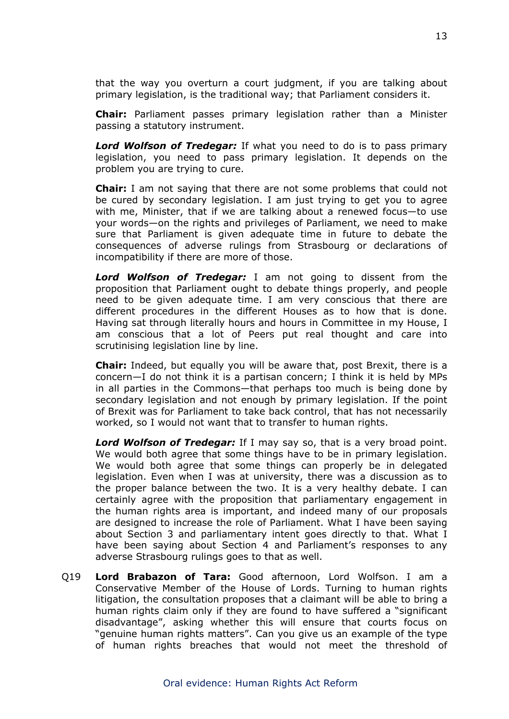that the way you overturn a court judgment, if you are talking about primary legislation, is the traditional way; that Parliament considers it.

**Chair:** Parliament passes primary legislation rather than a Minister passing a statutory instrument.

*Lord Wolfson of Tredegar:* If what you need to do is to pass primary legislation, you need to pass primary legislation. It depends on the problem you are trying to cure.

**Chair:** I am not saying that there are not some problems that could not be cured by secondary legislation. I am just trying to get you to agree with me, Minister, that if we are talking about a renewed focus—to use your words—on the rights and privileges of Parliament, we need to make sure that Parliament is given adequate time in future to debate the consequences of adverse rulings from Strasbourg or declarations of incompatibility if there are more of those.

*Lord Wolfson of Tredegar:* I am not going to dissent from the proposition that Parliament ought to debate things properly, and people need to be given adequate time. I am very conscious that there are different procedures in the different Houses as to how that is done. Having sat through literally hours and hours in Committee in my House, I am conscious that a lot of Peers put real thought and care into scrutinising legislation line by line.

**Chair:** Indeed, but equally you will be aware that, post Brexit, there is a concern—I do not think it is a partisan concern; I think it is held by MPs in all parties in the Commons—that perhaps too much is being done by secondary legislation and not enough by primary legislation. If the point of Brexit was for Parliament to take back control, that has not necessarily worked, so I would not want that to transfer to human rights.

*Lord Wolfson of Tredegar:* If I may say so, that is a very broad point. We would both agree that some things have to be in primary legislation. We would both agree that some things can properly be in delegated legislation. Even when I was at university, there was a discussion as to the proper balance between the two. It is a very healthy debate. I can certainly agree with the proposition that parliamentary engagement in the human rights area is important, and indeed many of our proposals are designed to increase the role of Parliament. What I have been saying about Section 3 and parliamentary intent goes directly to that. What I have been saying about Section 4 and Parliament's responses to any adverse Strasbourg rulings goes to that as well.

Q19 **Lord Brabazon of Tara:** Good afternoon, Lord Wolfson. I am a Conservative Member of the House of Lords. Turning to human rights litigation, the consultation proposes that a claimant will be able to bring a human rights claim only if they are found to have suffered a "significant disadvantage", asking whether this will ensure that courts focus on "genuine human rights matters". Can you give us an example of the type of human rights breaches that would not meet the threshold of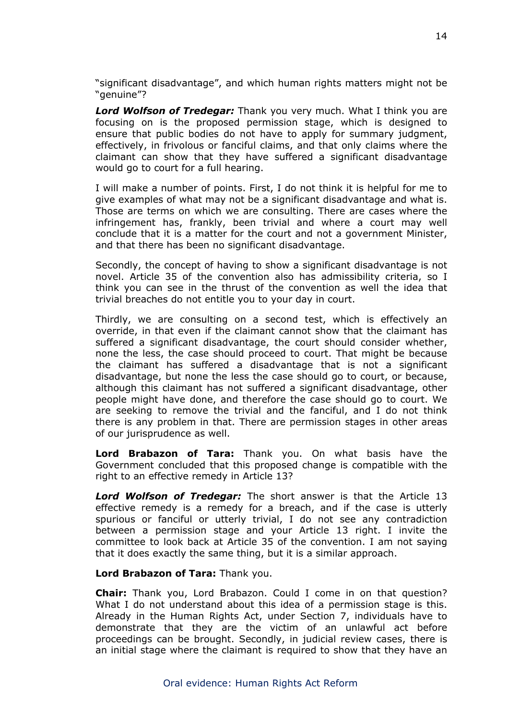"significant disadvantage", and which human rights matters might not be "genuine"?

*Lord Wolfson of Tredegar:* Thank you very much. What I think you are focusing on is the proposed permission stage, which is designed to ensure that public bodies do not have to apply for summary judgment, effectively, in frivolous or fanciful claims, and that only claims where the claimant can show that they have suffered a significant disadvantage would go to court for a full hearing.

I will make a number of points. First, I do not think it is helpful for me to give examples of what may not be a significant disadvantage and what is. Those are terms on which we are consulting. There are cases where the infringement has, frankly, been trivial and where a court may well conclude that it is a matter for the court and not a government Minister, and that there has been no significant disadvantage.

Secondly, the concept of having to show a significant disadvantage is not novel. Article 35 of the convention also has admissibility criteria, so I think you can see in the thrust of the convention as well the idea that trivial breaches do not entitle you to your day in court.

Thirdly, we are consulting on a second test, which is effectively an override, in that even if the claimant cannot show that the claimant has suffered a significant disadvantage, the court should consider whether, none the less, the case should proceed to court. That might be because the claimant has suffered a disadvantage that is not a significant disadvantage, but none the less the case should go to court, or because, although this claimant has not suffered a significant disadvantage, other people might have done, and therefore the case should go to court. We are seeking to remove the trivial and the fanciful, and I do not think there is any problem in that. There are permission stages in other areas of our jurisprudence as well.

**Lord Brabazon of Tara:** Thank you. On what basis have the Government concluded that this proposed change is compatible with the right to an effective remedy in Article 13?

*Lord Wolfson of Tredegar:* The short answer is that the Article 13 effective remedy is a remedy for a breach, and if the case is utterly spurious or fanciful or utterly trivial, I do not see any contradiction between a permission stage and your Article 13 right. I invite the committee to look back at Article 35 of the convention. I am not saying that it does exactly the same thing, but it is a similar approach.

#### **Lord Brabazon of Tara:** Thank you.

**Chair:** Thank you, Lord Brabazon. Could I come in on that question? What I do not understand about this idea of a permission stage is this. Already in the Human Rights Act, under Section 7, individuals have to demonstrate that they are the victim of an unlawful act before proceedings can be brought. Secondly, in judicial review cases, there is an initial stage where the claimant is required to show that they have an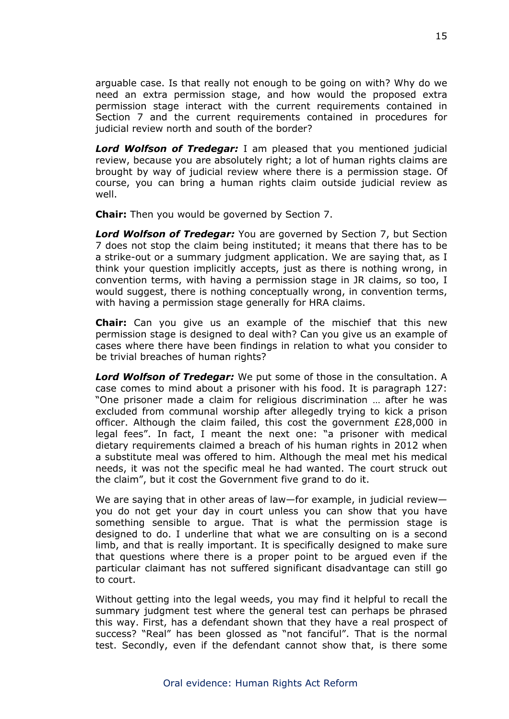arguable case. Is that really not enough to be going on with? Why do we need an extra permission stage, and how would the proposed extra permission stage interact with the current requirements contained in Section 7 and the current requirements contained in procedures for judicial review north and south of the border?

*Lord Wolfson of Tredegar:* I am pleased that you mentioned judicial review, because you are absolutely right; a lot of human rights claims are brought by way of judicial review where there is a permission stage. Of course, you can bring a human rights claim outside judicial review as well.

**Chair:** Then you would be governed by Section 7.

*Lord Wolfson of Tredegar:* You are governed by Section 7, but Section 7 does not stop the claim being instituted; it means that there has to be a strike-out or a summary judgment application. We are saying that, as I think your question implicitly accepts, just as there is nothing wrong, in convention terms, with having a permission stage in JR claims, so too, I would suggest, there is nothing conceptually wrong, in convention terms, with having a permission stage generally for HRA claims.

**Chair:** Can you give us an example of the mischief that this new permission stage is designed to deal with? Can you give us an example of cases where there have been findings in relation to what you consider to be trivial breaches of human rights?

*Lord Wolfson of Tredegar:* We put some of those in the consultation. A case comes to mind about a prisoner with his food. It is paragraph 127: "One prisoner made a claim for religious discrimination … after he was excluded from communal worship after allegedly trying to kick a prison officer. Although the claim failed, this cost the government £28,000 in legal fees". In fact, I meant the next one: "a prisoner with medical dietary requirements claimed a breach of his human rights in 2012 when a substitute meal was offered to him. Although the meal met his medical needs, it was not the specific meal he had wanted. The court struck out the claim", but it cost the Government five grand to do it.

We are saying that in other areas of law—for example, in judicial review you do not get your day in court unless you can show that you have something sensible to argue. That is what the permission stage is designed to do. I underline that what we are consulting on is a second limb, and that is really important. It is specifically designed to make sure that questions where there is a proper point to be argued even if the particular claimant has not suffered significant disadvantage can still go to court.

Without getting into the legal weeds, you may find it helpful to recall the summary judgment test where the general test can perhaps be phrased this way. First, has a defendant shown that they have a real prospect of success? "Real" has been glossed as "not fanciful". That is the normal test. Secondly, even if the defendant cannot show that, is there some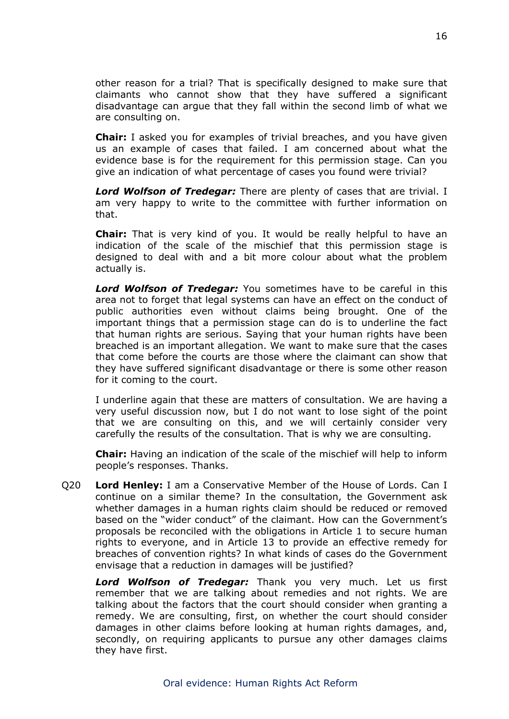other reason for a trial? That is specifically designed to make sure that claimants who cannot show that they have suffered a significant disadvantage can argue that they fall within the second limb of what we are consulting on.

**Chair:** I asked you for examples of trivial breaches, and you have given us an example of cases that failed. I am concerned about what the evidence base is for the requirement for this permission stage. Can you give an indication of what percentage of cases you found were trivial?

*Lord Wolfson of Tredegar:* There are plenty of cases that are trivial. I am very happy to write to the committee with further information on that.

**Chair:** That is very kind of you. It would be really helpful to have an indication of the scale of the mischief that this permission stage is designed to deal with and a bit more colour about what the problem actually is.

*Lord Wolfson of Tredegar:* You sometimes have to be careful in this area not to forget that legal systems can have an effect on the conduct of public authorities even without claims being brought. One of the important things that a permission stage can do is to underline the fact that human rights are serious. Saying that your human rights have been breached is an important allegation. We want to make sure that the cases that come before the courts are those where the claimant can show that they have suffered significant disadvantage or there is some other reason for it coming to the court.

I underline again that these are matters of consultation. We are having a very useful discussion now, but I do not want to lose sight of the point that we are consulting on this, and we will certainly consider very carefully the results of the consultation. That is why we are consulting.

**Chair:** Having an indication of the scale of the mischief will help to inform people's responses. Thanks.

Q20 **Lord Henley:** I am a Conservative Member of the House of Lords. Can I continue on a similar theme? In the consultation, the Government ask whether damages in a human rights claim should be reduced or removed based on the "wider conduct" of the claimant. How can the Government's proposals be reconciled with the obligations in Article 1 to secure human rights to everyone, and in Article 13 to provide an effective remedy for breaches of convention rights? In what kinds of cases do the Government envisage that a reduction in damages will be justified?

*Lord Wolfson of Tredegar:* Thank you very much. Let us first remember that we are talking about remedies and not rights. We are talking about the factors that the court should consider when granting a remedy. We are consulting, first, on whether the court should consider damages in other claims before looking at human rights damages, and, secondly, on requiring applicants to pursue any other damages claims they have first.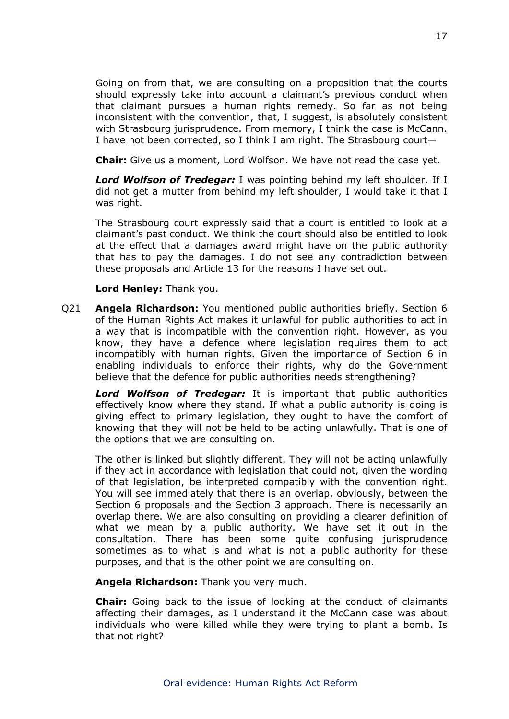Going on from that, we are consulting on a proposition that the courts should expressly take into account a claimant's previous conduct when that claimant pursues a human rights remedy. So far as not being inconsistent with the convention, that, I suggest, is absolutely consistent with Strasbourg jurisprudence. From memory, I think the case is McCann. I have not been corrected, so I think I am right. The Strasbourg court—

**Chair:** Give us a moment, Lord Wolfson. We have not read the case yet.

*Lord Wolfson of Tredegar:* I was pointing behind my left shoulder. If I did not get a mutter from behind my left shoulder, I would take it that I was right.

The Strasbourg court expressly said that a court is entitled to look at a claimant's past conduct. We think the court should also be entitled to look at the effect that a damages award might have on the public authority that has to pay the damages. I do not see any contradiction between these proposals and Article 13 for the reasons I have set out.

**Lord Henley:** Thank you.

Q21 **Angela Richardson:** You mentioned public authorities briefly. Section 6 of the Human Rights Act makes it unlawful for public authorities to act in a way that is incompatible with the convention right. However, as you know, they have a defence where legislation requires them to act incompatibly with human rights. Given the importance of Section 6 in enabling individuals to enforce their rights, why do the Government believe that the defence for public authorities needs strengthening?

*Lord Wolfson of Tredegar:* It is important that public authorities effectively know where they stand. If what a public authority is doing is giving effect to primary legislation, they ought to have the comfort of knowing that they will not be held to be acting unlawfully. That is one of the options that we are consulting on.

The other is linked but slightly different. They will not be acting unlawfully if they act in accordance with legislation that could not, given the wording of that legislation, be interpreted compatibly with the convention right. You will see immediately that there is an overlap, obviously, between the Section 6 proposals and the Section 3 approach. There is necessarily an overlap there. We are also consulting on providing a clearer definition of what we mean by a public authority. We have set it out in the consultation. There has been some quite confusing jurisprudence sometimes as to what is and what is not a public authority for these purposes, and that is the other point we are consulting on.

**Angela Richardson:** Thank you very much.

**Chair:** Going back to the issue of looking at the conduct of claimants affecting their damages, as I understand it the McCann case was about individuals who were killed while they were trying to plant a bomb. Is that not right?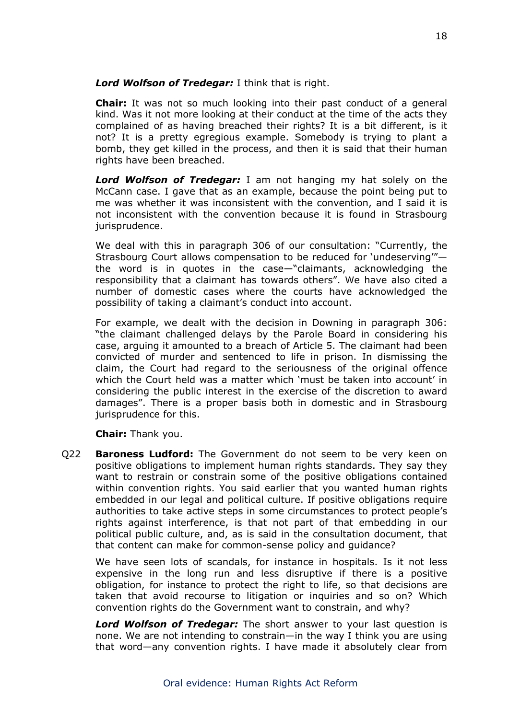## *Lord Wolfson of Tredegar:* I think that is right.

**Chair:** It was not so much looking into their past conduct of a general kind. Was it not more looking at their conduct at the time of the acts they complained of as having breached their rights? It is a bit different, is it not? It is a pretty egregious example. Somebody is trying to plant a bomb, they get killed in the process, and then it is said that their human rights have been breached.

*Lord Wolfson of Tredegar:* I am not hanging my hat solely on the McCann case. I gave that as an example, because the point being put to me was whether it was inconsistent with the convention, and I said it is not inconsistent with the convention because it is found in Strasbourg jurisprudence.

We deal with this in paragraph 306 of our consultation: "Currently, the Strasbourg Court allows compensation to be reduced for 'undeserving'" the word is in quotes in the case—"claimants, acknowledging the responsibility that a claimant has towards others". We have also cited a number of domestic cases where the courts have acknowledged the possibility of taking a claimant's conduct into account.

For example, we dealt with the decision in Downing in paragraph 306: "the claimant challenged delays by the Parole Board in considering his case, arguing it amounted to a breach of Article 5. The claimant had been convicted of murder and sentenced to life in prison. In dismissing the claim, the Court had regard to the seriousness of the original offence which the Court held was a matter which 'must be taken into account' in considering the public interest in the exercise of the discretion to award damages". There is a proper basis both in domestic and in Strasbourg jurisprudence for this.

**Chair:** Thank you.

Q22 **Baroness Ludford:** The Government do not seem to be very keen on positive obligations to implement human rights standards. They say they want to restrain or constrain some of the positive obligations contained within convention rights. You said earlier that you wanted human rights embedded in our legal and political culture. If positive obligations require authorities to take active steps in some circumstances to protect people's rights against interference, is that not part of that embedding in our political public culture, and, as is said in the consultation document, that that content can make for common-sense policy and guidance?

We have seen lots of scandals, for instance in hospitals. Is it not less expensive in the long run and less disruptive if there is a positive obligation, for instance to protect the right to life, so that decisions are taken that avoid recourse to litigation or inquiries and so on? Which convention rights do the Government want to constrain, and why?

*Lord Wolfson of Tredegar:* The short answer to your last question is none. We are not intending to constrain—in the way I think you are using that word—any convention rights. I have made it absolutely clear from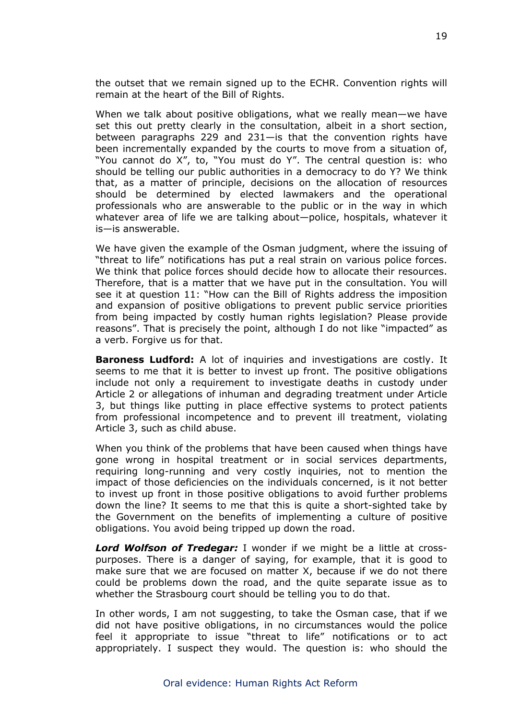the outset that we remain signed up to the ECHR. Convention rights will remain at the heart of the Bill of Rights.

When we talk about positive obligations, what we really mean—we have set this out pretty clearly in the consultation, albeit in a short section, between paragraphs 229 and 231—is that the convention rights have been incrementally expanded by the courts to move from a situation of, "You cannot do X", to, "You must do Y". The central question is: who should be telling our public authorities in a democracy to do Y? We think that, as a matter of principle, decisions on the allocation of resources should be determined by elected lawmakers and the operational professionals who are answerable to the public or in the way in which whatever area of life we are talking about—police, hospitals, whatever it is—is answerable.

We have given the example of the Osman judgment, where the issuing of "threat to life" notifications has put a real strain on various police forces. We think that police forces should decide how to allocate their resources. Therefore, that is a matter that we have put in the consultation. You will see it at question 11: "How can the Bill of Rights address the imposition and expansion of positive obligations to prevent public service priorities from being impacted by costly human rights legislation? Please provide reasons". That is precisely the point, although I do not like "impacted" as a verb. Forgive us for that.

**Baroness Ludford:** A lot of inquiries and investigations are costly. It seems to me that it is better to invest up front. The positive obligations include not only a requirement to investigate deaths in custody under Article 2 or allegations of inhuman and degrading treatment under Article 3, but things like putting in place effective systems to protect patients from professional incompetence and to prevent ill treatment, violating Article 3, such as child abuse.

When you think of the problems that have been caused when things have gone wrong in hospital treatment or in social services departments, requiring long-running and very costly inquiries, not to mention the impact of those deficiencies on the individuals concerned, is it not better to invest up front in those positive obligations to avoid further problems down the line? It seems to me that this is quite a short-sighted take by the Government on the benefits of implementing a culture of positive obligations. You avoid being tripped up down the road.

*Lord Wolfson of Tredegar:* I wonder if we might be a little at crosspurposes. There is a danger of saying, for example, that it is good to make sure that we are focused on matter X, because if we do not there could be problems down the road, and the quite separate issue as to whether the Strasbourg court should be telling you to do that.

In other words, I am not suggesting, to take the Osman case, that if we did not have positive obligations, in no circumstances would the police feel it appropriate to issue "threat to life" notifications or to act appropriately. I suspect they would. The question is: who should the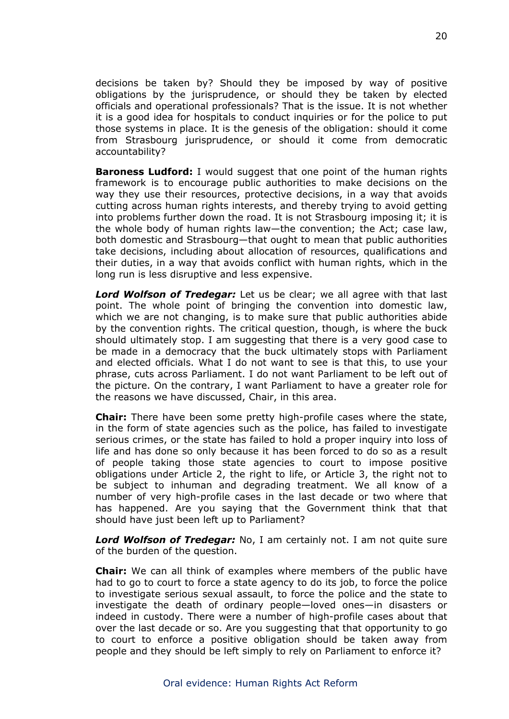decisions be taken by? Should they be imposed by way of positive obligations by the jurisprudence, or should they be taken by elected officials and operational professionals? That is the issue. It is not whether it is a good idea for hospitals to conduct inquiries or for the police to put those systems in place. It is the genesis of the obligation: should it come from Strasbourg jurisprudence, or should it come from democratic accountability?

**Baroness Ludford:** I would suggest that one point of the human rights framework is to encourage public authorities to make decisions on the way they use their resources, protective decisions, in a way that avoids cutting across human rights interests, and thereby trying to avoid getting into problems further down the road. It is not Strasbourg imposing it; it is the whole body of human rights law—the convention; the Act; case law, both domestic and Strasbourg—that ought to mean that public authorities take decisions, including about allocation of resources, qualifications and their duties, in a way that avoids conflict with human rights, which in the long run is less disruptive and less expensive.

*Lord Wolfson of Tredegar:* Let us be clear; we all agree with that last point. The whole point of bringing the convention into domestic law, which we are not changing, is to make sure that public authorities abide by the convention rights. The critical question, though, is where the buck should ultimately stop. I am suggesting that there is a very good case to be made in a democracy that the buck ultimately stops with Parliament and elected officials. What I do not want to see is that this, to use your phrase, cuts across Parliament. I do not want Parliament to be left out of the picture. On the contrary, I want Parliament to have a greater role for the reasons we have discussed, Chair, in this area.

**Chair:** There have been some pretty high-profile cases where the state, in the form of state agencies such as the police, has failed to investigate serious crimes, or the state has failed to hold a proper inquiry into loss of life and has done so only because it has been forced to do so as a result of people taking those state agencies to court to impose positive obligations under Article 2, the right to life, or Article 3, the right not to be subject to inhuman and degrading treatment. We all know of a number of very high-profile cases in the last decade or two where that has happened. Are you saying that the Government think that that should have just been left up to Parliament?

*Lord Wolfson of Tredegar:* No, I am certainly not. I am not quite sure of the burden of the question.

**Chair:** We can all think of examples where members of the public have had to go to court to force a state agency to do its job, to force the police to investigate serious sexual assault, to force the police and the state to investigate the death of ordinary people—loved ones—in disasters or indeed in custody. There were a number of high-profile cases about that over the last decade or so. Are you suggesting that that opportunity to go to court to enforce a positive obligation should be taken away from people and they should be left simply to rely on Parliament to enforce it?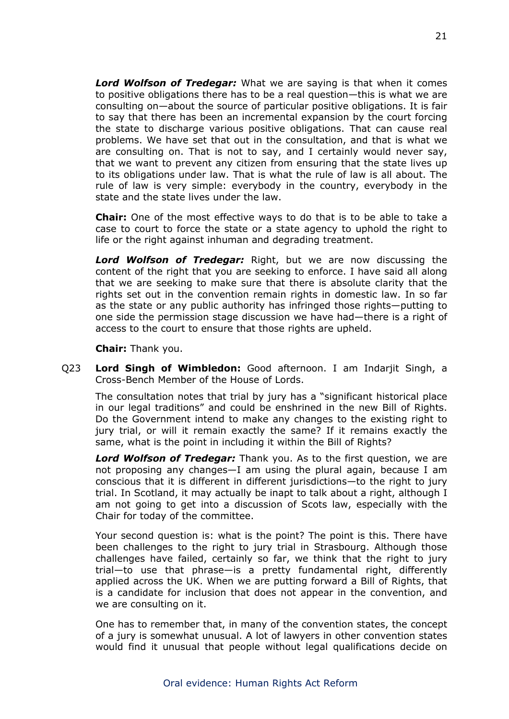*Lord Wolfson of Tredegar:* What we are saying is that when it comes to positive obligations there has to be a real question—this is what we are consulting on—about the source of particular positive obligations. It is fair to say that there has been an incremental expansion by the court forcing the state to discharge various positive obligations. That can cause real problems. We have set that out in the consultation, and that is what we are consulting on. That is not to say, and I certainly would never say, that we want to prevent any citizen from ensuring that the state lives up to its obligations under law. That is what the rule of law is all about. The rule of law is very simple: everybody in the country, everybody in the state and the state lives under the law.

**Chair:** One of the most effective ways to do that is to be able to take a case to court to force the state or a state agency to uphold the right to life or the right against inhuman and degrading treatment.

*Lord Wolfson of Tredegar:* Right, but we are now discussing the content of the right that you are seeking to enforce. I have said all along that we are seeking to make sure that there is absolute clarity that the rights set out in the convention remain rights in domestic law. In so far as the state or any public authority has infringed those rights—putting to one side the permission stage discussion we have had—there is a right of access to the court to ensure that those rights are upheld.

**Chair:** Thank you.

Q23 **Lord Singh of Wimbledon:** Good afternoon. I am Indarjit Singh, a Cross-Bench Member of the House of Lords.

The consultation notes that trial by jury has a "significant historical place in our legal traditions" and could be enshrined in the new Bill of Rights. Do the Government intend to make any changes to the existing right to jury trial, or will it remain exactly the same? If it remains exactly the same, what is the point in including it within the Bill of Rights?

*Lord Wolfson of Tredegar:* Thank you. As to the first question, we are not proposing any changes—I am using the plural again, because I am conscious that it is different in different jurisdictions—to the right to jury trial. In Scotland, it may actually be inapt to talk about a right, although I am not going to get into a discussion of Scots law, especially with the Chair for today of the committee.

Your second question is: what is the point? The point is this. There have been challenges to the right to jury trial in Strasbourg. Although those challenges have failed, certainly so far, we think that the right to jury trial—to use that phrase—is a pretty fundamental right, differently applied across the UK. When we are putting forward a Bill of Rights, that is a candidate for inclusion that does not appear in the convention, and we are consulting on it.

One has to remember that, in many of the convention states, the concept of a jury is somewhat unusual. A lot of lawyers in other convention states would find it unusual that people without legal qualifications decide on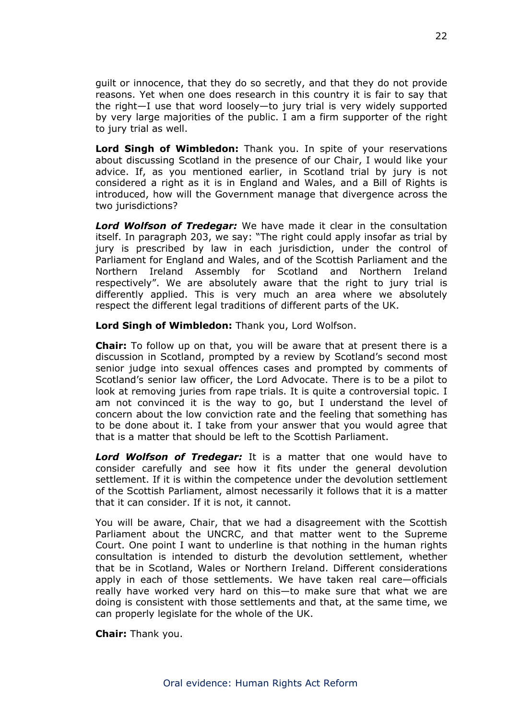guilt or innocence, that they do so secretly, and that they do not provide reasons. Yet when one does research in this country it is fair to say that the right—I use that word loosely—to jury trial is very widely supported by very large majorities of the public. I am a firm supporter of the right to jury trial as well.

**Lord Singh of Wimbledon:** Thank you. In spite of your reservations about discussing Scotland in the presence of our Chair, I would like your advice. If, as you mentioned earlier, in Scotland trial by jury is not considered a right as it is in England and Wales, and a Bill of Rights is introduced, how will the Government manage that divergence across the two jurisdictions?

*Lord Wolfson of Tredegar:* We have made it clear in the consultation itself. In paragraph 203, we say: "The right could apply insofar as trial by jury is prescribed by law in each jurisdiction, under the control of Parliament for England and Wales, and of the Scottish Parliament and the Northern Ireland Assembly for Scotland and Northern Ireland respectively". We are absolutely aware that the right to jury trial is differently applied. This is very much an area where we absolutely respect the different legal traditions of different parts of the UK.

**Lord Singh of Wimbledon:** Thank you, Lord Wolfson.

**Chair:** To follow up on that, you will be aware that at present there is a discussion in Scotland, prompted by a review by Scotland's second most senior judge into sexual offences cases and prompted by comments of Scotland's senior law officer, the Lord Advocate. There is to be a pilot to look at removing juries from rape trials. It is quite a controversial topic. I am not convinced it is the way to go, but I understand the level of concern about the low conviction rate and the feeling that something has to be done about it. I take from your answer that you would agree that that is a matter that should be left to the Scottish Parliament.

*Lord Wolfson of Tredegar:* It is a matter that one would have to consider carefully and see how it fits under the general devolution settlement. If it is within the competence under the devolution settlement of the Scottish Parliament, almost necessarily it follows that it is a matter that it can consider. If it is not, it cannot.

You will be aware, Chair, that we had a disagreement with the Scottish Parliament about the UNCRC, and that matter went to the Supreme Court. One point I want to underline is that nothing in the human rights consultation is intended to disturb the devolution settlement, whether that be in Scotland, Wales or Northern Ireland. Different considerations apply in each of those settlements. We have taken real care—officials really have worked very hard on this—to make sure that what we are doing is consistent with those settlements and that, at the same time, we can properly legislate for the whole of the UK.

**Chair:** Thank you.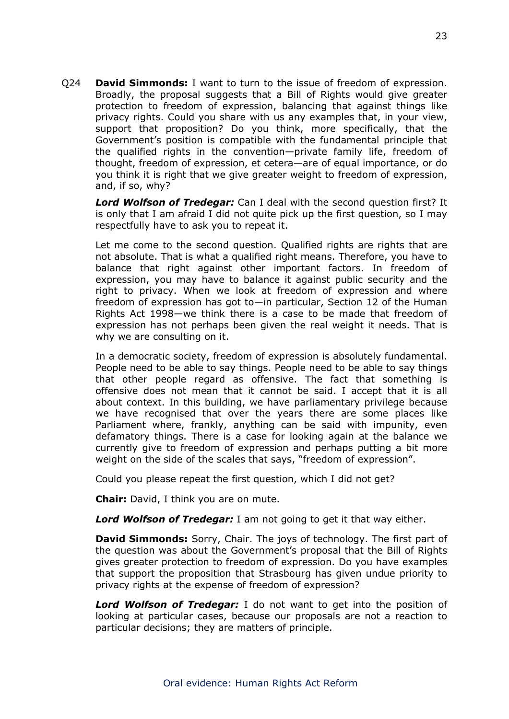Q24 **David Simmonds:** I want to turn to the issue of freedom of expression. Broadly, the proposal suggests that a Bill of Rights would give greater protection to freedom of expression, balancing that against things like privacy rights. Could you share with us any examples that, in your view, support that proposition? Do you think, more specifically, that the Government's position is compatible with the fundamental principle that the qualified rights in the convention—private family life, freedom of thought, freedom of expression, et cetera—are of equal importance, or do you think it is right that we give greater weight to freedom of expression, and, if so, why?

*Lord Wolfson of Tredegar:* Can I deal with the second question first? It is only that I am afraid I did not quite pick up the first question, so I may respectfully have to ask you to repeat it.

Let me come to the second question. Qualified rights are rights that are not absolute. That is what a qualified right means. Therefore, you have to balance that right against other important factors. In freedom of expression, you may have to balance it against public security and the right to privacy. When we look at freedom of expression and where freedom of expression has got to—in particular, Section 12 of the Human Rights Act 1998—we think there is a case to be made that freedom of expression has not perhaps been given the real weight it needs. That is why we are consulting on it.

In a democratic society, freedom of expression is absolutely fundamental. People need to be able to say things. People need to be able to say things that other people regard as offensive. The fact that something is offensive does not mean that it cannot be said. I accept that it is all about context. In this building, we have parliamentary privilege because we have recognised that over the years there are some places like Parliament where, frankly, anything can be said with impunity, even defamatory things. There is a case for looking again at the balance we currently give to freedom of expression and perhaps putting a bit more weight on the side of the scales that says, "freedom of expression".

Could you please repeat the first question, which I did not get?

**Chair:** David, I think you are on mute.

*Lord Wolfson of Tredegar:* I am not going to get it that way either.

**David Simmonds:** Sorry, Chair. The joys of technology. The first part of the question was about the Government's proposal that the Bill of Rights gives greater protection to freedom of expression. Do you have examples that support the proposition that Strasbourg has given undue priority to privacy rights at the expense of freedom of expression?

*Lord Wolfson of Tredegar:* I do not want to get into the position of looking at particular cases, because our proposals are not a reaction to particular decisions; they are matters of principle.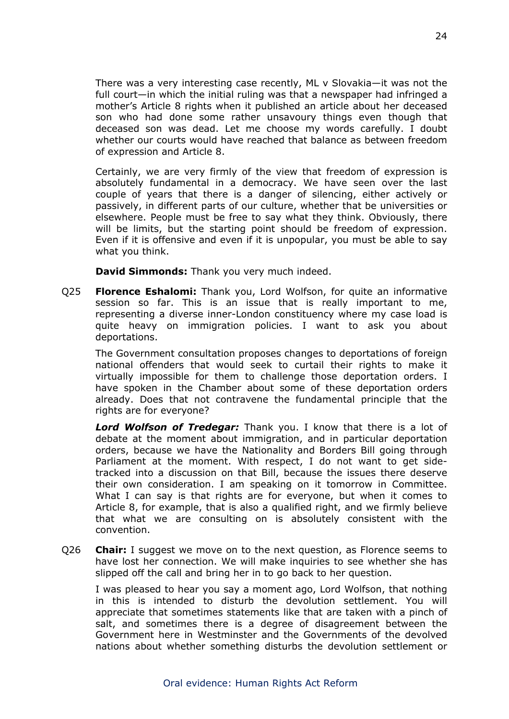There was a very interesting case recently, ML v Slovakia—it was not the full court—in which the initial ruling was that a newspaper had infringed a mother's Article 8 rights when it published an article about her deceased son who had done some rather unsavoury things even though that deceased son was dead. Let me choose my words carefully. I doubt whether our courts would have reached that balance as between freedom of expression and Article 8.

Certainly, we are very firmly of the view that freedom of expression is absolutely fundamental in a democracy. We have seen over the last couple of years that there is a danger of silencing, either actively or passively, in different parts of our culture, whether that be universities or elsewhere. People must be free to say what they think. Obviously, there will be limits, but the starting point should be freedom of expression. Even if it is offensive and even if it is unpopular, you must be able to say what you think.

**David Simmonds:** Thank you very much indeed.

Q25 **Florence Eshalomi:** Thank you, Lord Wolfson, for quite an informative session so far. This is an issue that is really important to me, representing a diverse inner-London constituency where my case load is quite heavy on immigration policies. I want to ask you about deportations.

The Government consultation proposes changes to deportations of foreign national offenders that would seek to curtail their rights to make it virtually impossible for them to challenge those deportation orders. I have spoken in the Chamber about some of these deportation orders already. Does that not contravene the fundamental principle that the rights are for everyone?

*Lord Wolfson of Tredegar:* Thank you. I know that there is a lot of debate at the moment about immigration, and in particular deportation orders, because we have the Nationality and Borders Bill going through Parliament at the moment. With respect, I do not want to get sidetracked into a discussion on that Bill, because the issues there deserve their own consideration. I am speaking on it tomorrow in Committee. What I can say is that rights are for everyone, but when it comes to Article 8, for example, that is also a qualified right, and we firmly believe that what we are consulting on is absolutely consistent with the convention.

Q26 **Chair:** I suggest we move on to the next question, as Florence seems to have lost her connection. We will make inquiries to see whether she has slipped off the call and bring her in to go back to her question.

I was pleased to hear you say a moment ago, Lord Wolfson, that nothing in this is intended to disturb the devolution settlement. You will appreciate that sometimes statements like that are taken with a pinch of salt, and sometimes there is a degree of disagreement between the Government here in Westminster and the Governments of the devolved nations about whether something disturbs the devolution settlement or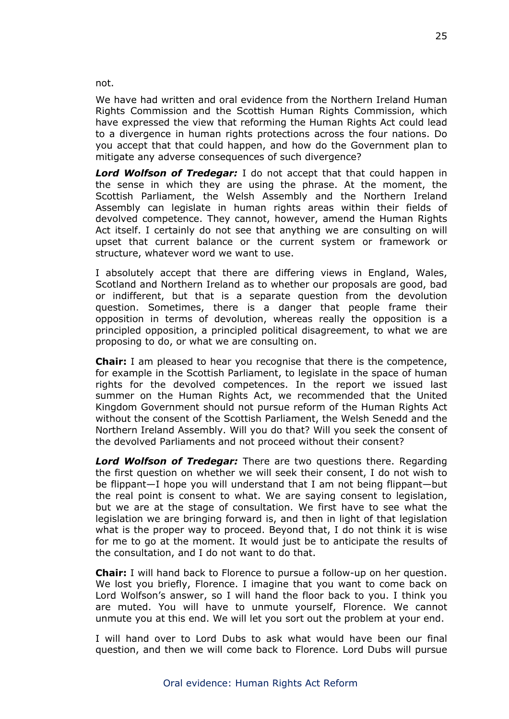not.

We have had written and oral evidence from the Northern Ireland Human Rights Commission and the Scottish Human Rights Commission, which have expressed the view that reforming the Human Rights Act could lead to a divergence in human rights protections across the four nations. Do you accept that that could happen, and how do the Government plan to mitigate any adverse consequences of such divergence?

*Lord Wolfson of Tredegar:* I do not accept that that could happen in the sense in which they are using the phrase. At the moment, the Scottish Parliament, the Welsh Assembly and the Northern Ireland Assembly can legislate in human rights areas within their fields of devolved competence. They cannot, however, amend the Human Rights Act itself. I certainly do not see that anything we are consulting on will upset that current balance or the current system or framework or structure, whatever word we want to use.

I absolutely accept that there are differing views in England, Wales, Scotland and Northern Ireland as to whether our proposals are good, bad or indifferent, but that is a separate question from the devolution question. Sometimes, there is a danger that people frame their opposition in terms of devolution, whereas really the opposition is a principled opposition, a principled political disagreement, to what we are proposing to do, or what we are consulting on.

**Chair:** I am pleased to hear you recognise that there is the competence, for example in the Scottish Parliament, to legislate in the space of human rights for the devolved competences. In the report we issued last summer on the Human Rights Act, we recommended that the United Kingdom Government should not pursue reform of the Human Rights Act without the consent of the Scottish Parliament, the Welsh Senedd and the Northern Ireland Assembly. Will you do that? Will you seek the consent of the devolved Parliaments and not proceed without their consent?

*Lord Wolfson of Tredegar:* There are two questions there. Regarding the first question on whether we will seek their consent, I do not wish to be flippant—I hope you will understand that I am not being flippant—but the real point is consent to what. We are saying consent to legislation, but we are at the stage of consultation. We first have to see what the legislation we are bringing forward is, and then in light of that legislation what is the proper way to proceed. Beyond that, I do not think it is wise for me to go at the moment. It would just be to anticipate the results of the consultation, and I do not want to do that.

**Chair:** I will hand back to Florence to pursue a follow-up on her question. We lost you briefly, Florence. I imagine that you want to come back on Lord Wolfson's answer, so I will hand the floor back to you. I think you are muted. You will have to unmute yourself, Florence. We cannot unmute you at this end. We will let you sort out the problem at your end.

I will hand over to Lord Dubs to ask what would have been our final question, and then we will come back to Florence. Lord Dubs will pursue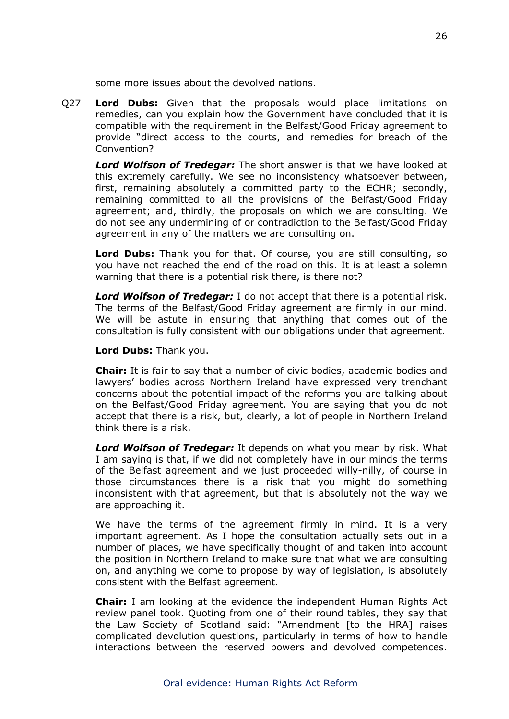some more issues about the devolved nations.

Q27 **Lord Dubs:** Given that the proposals would place limitations on remedies, can you explain how the Government have concluded that it is compatible with the requirement in the Belfast/Good Friday agreement to provide "direct access to the courts, and remedies for breach of the Convention?

*Lord Wolfson of Tredegar:* The short answer is that we have looked at this extremely carefully. We see no inconsistency whatsoever between, first, remaining absolutely a committed party to the ECHR; secondly, remaining committed to all the provisions of the Belfast/Good Friday agreement; and, thirdly, the proposals on which we are consulting. We do not see any undermining of or contradiction to the Belfast/Good Friday agreement in any of the matters we are consulting on.

**Lord Dubs:** Thank you for that. Of course, you are still consulting, so you have not reached the end of the road on this. It is at least a solemn warning that there is a potential risk there, is there not?

*Lord Wolfson of Tredegar:* I do not accept that there is a potential risk. The terms of the Belfast/Good Friday agreement are firmly in our mind. We will be astute in ensuring that anything that comes out of the consultation is fully consistent with our obligations under that agreement.

**Lord Dubs:** Thank you.

**Chair:** It is fair to say that a number of civic bodies, academic bodies and lawyers' bodies across Northern Ireland have expressed very trenchant concerns about the potential impact of the reforms you are talking about on the Belfast/Good Friday agreement. You are saying that you do not accept that there is a risk, but, clearly, a lot of people in Northern Ireland think there is a risk.

*Lord Wolfson of Tredegar:* It depends on what you mean by risk. What I am saying is that, if we did not completely have in our minds the terms of the Belfast agreement and we just proceeded willy-nilly, of course in those circumstances there is a risk that you might do something inconsistent with that agreement, but that is absolutely not the way we are approaching it.

We have the terms of the agreement firmly in mind. It is a very important agreement. As I hope the consultation actually sets out in a number of places, we have specifically thought of and taken into account the position in Northern Ireland to make sure that what we are consulting on, and anything we come to propose by way of legislation, is absolutely consistent with the Belfast agreement.

**Chair:** I am looking at the evidence the independent Human Rights Act review panel took. Quoting from one of their round tables, they say that the Law Society of Scotland said: "Amendment [to the HRA] raises complicated devolution questions, particularly in terms of how to handle interactions between the reserved powers and devolved competences.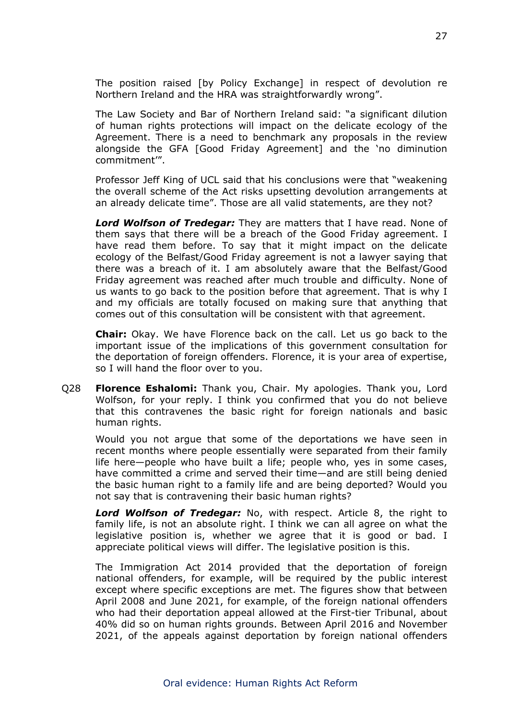The position raised [by Policy Exchange] in respect of devolution re Northern Ireland and the HRA was straightforwardly wrong".

The Law Society and Bar of Northern Ireland said: "a significant dilution of human rights protections will impact on the delicate ecology of the Agreement. There is a need to benchmark any proposals in the review alongside the GFA [Good Friday Agreement] and the 'no diminution commitment'".

Professor Jeff King of UCL said that his conclusions were that "weakening the overall scheme of the Act risks upsetting devolution arrangements at an already delicate time". Those are all valid statements, are they not?

*Lord Wolfson of Tredegar:* They are matters that I have read. None of them says that there will be a breach of the Good Friday agreement. I have read them before. To say that it might impact on the delicate ecology of the Belfast/Good Friday agreement is not a lawyer saying that there was a breach of it. I am absolutely aware that the Belfast/Good Friday agreement was reached after much trouble and difficulty. None of us wants to go back to the position before that agreement. That is why I and my officials are totally focused on making sure that anything that comes out of this consultation will be consistent with that agreement.

**Chair:** Okay. We have Florence back on the call. Let us go back to the important issue of the implications of this government consultation for the deportation of foreign offenders. Florence, it is your area of expertise, so I will hand the floor over to you.

Q28 **Florence Eshalomi:** Thank you, Chair. My apologies. Thank you, Lord Wolfson, for your reply. I think you confirmed that you do not believe that this contravenes the basic right for foreign nationals and basic human rights.

Would you not argue that some of the deportations we have seen in recent months where people essentially were separated from their family life here—people who have built a life; people who, yes in some cases, have committed a crime and served their time—and are still being denied the basic human right to a family life and are being deported? Would you not say that is contravening their basic human rights?

*Lord Wolfson of Tredegar:* No, with respect. Article 8, the right to family life, is not an absolute right. I think we can all agree on what the legislative position is, whether we agree that it is good or bad. I appreciate political views will differ. The legislative position is this.

The Immigration Act 2014 provided that the deportation of foreign national offenders, for example, will be required by the public interest except where specific exceptions are met. The figures show that between April 2008 and June 2021, for example, of the foreign national offenders who had their deportation appeal allowed at the First-tier Tribunal, about 40% did so on human rights grounds. Between April 2016 and November 2021, of the appeals against deportation by foreign national offenders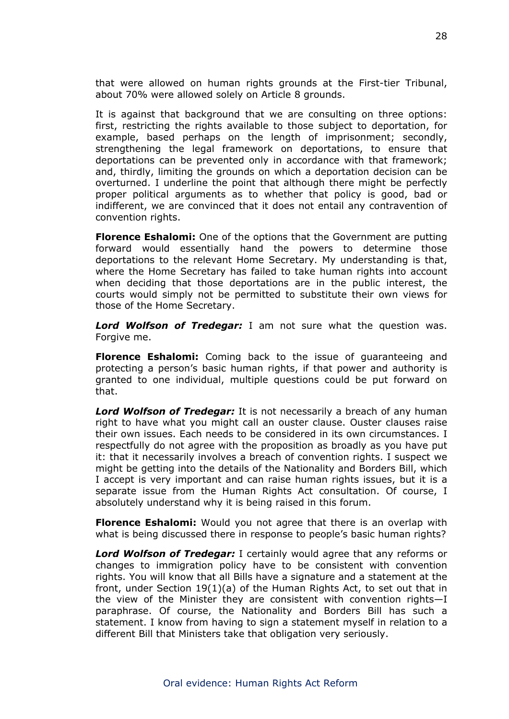that were allowed on human rights grounds at the First-tier Tribunal, about 70% were allowed solely on Article 8 grounds.

It is against that background that we are consulting on three options: first, restricting the rights available to those subject to deportation, for example, based perhaps on the length of imprisonment; secondly, strengthening the legal framework on deportations, to ensure that deportations can be prevented only in accordance with that framework; and, thirdly, limiting the grounds on which a deportation decision can be overturned. I underline the point that although there might be perfectly proper political arguments as to whether that policy is good, bad or indifferent, we are convinced that it does not entail any contravention of convention rights.

**Florence Eshalomi:** One of the options that the Government are putting forward would essentially hand the powers to determine those deportations to the relevant Home Secretary. My understanding is that, where the Home Secretary has failed to take human rights into account when deciding that those deportations are in the public interest, the courts would simply not be permitted to substitute their own views for those of the Home Secretary.

*Lord Wolfson of Tredegar:* I am not sure what the question was. Forgive me.

**Florence Eshalomi:** Coming back to the issue of guaranteeing and protecting a person's basic human rights, if that power and authority is granted to one individual, multiple questions could be put forward on that.

*Lord Wolfson of Tredegar:* It is not necessarily a breach of any human right to have what you might call an ouster clause. Ouster clauses raise their own issues. Each needs to be considered in its own circumstances. I respectfully do not agree with the proposition as broadly as you have put it: that it necessarily involves a breach of convention rights. I suspect we might be getting into the details of the Nationality and Borders Bill, which I accept is very important and can raise human rights issues, but it is a separate issue from the Human Rights Act consultation. Of course, I absolutely understand why it is being raised in this forum.

**Florence Eshalomi:** Would you not agree that there is an overlap with what is being discussed there in response to people's basic human rights?

*Lord Wolfson of Tredegar:* I certainly would agree that any reforms or changes to immigration policy have to be consistent with convention rights. You will know that all Bills have a signature and a statement at the front, under Section 19(1)(a) of the Human Rights Act, to set out that in the view of the Minister they are consistent with convention rights—I paraphrase. Of course, the Nationality and Borders Bill has such a statement. I know from having to sign a statement myself in relation to a different Bill that Ministers take that obligation very seriously.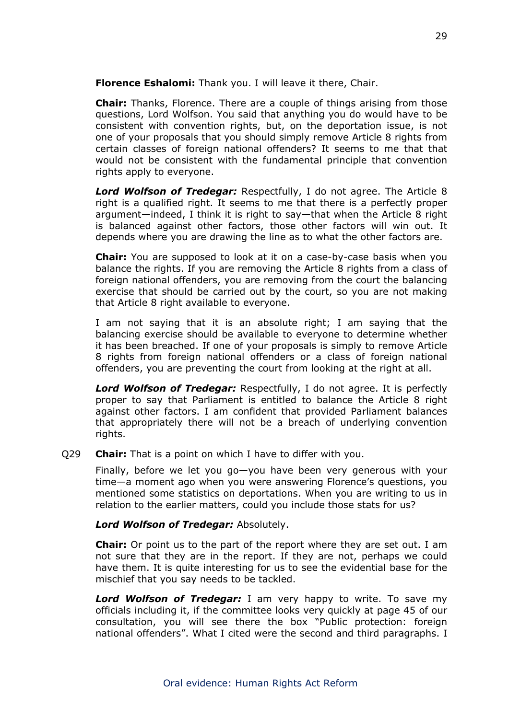**Florence Eshalomi:** Thank you. I will leave it there, Chair.

**Chair:** Thanks, Florence. There are a couple of things arising from those questions, Lord Wolfson. You said that anything you do would have to be consistent with convention rights, but, on the deportation issue, is not one of your proposals that you should simply remove Article 8 rights from certain classes of foreign national offenders? It seems to me that that would not be consistent with the fundamental principle that convention rights apply to everyone.

*Lord Wolfson of Tredegar:* Respectfully, I do not agree. The Article 8 right is a qualified right. It seems to me that there is a perfectly proper argument—indeed, I think it is right to say—that when the Article 8 right is balanced against other factors, those other factors will win out. It depends where you are drawing the line as to what the other factors are.

**Chair:** You are supposed to look at it on a case-by-case basis when you balance the rights. If you are removing the Article 8 rights from a class of foreign national offenders, you are removing from the court the balancing exercise that should be carried out by the court, so you are not making that Article 8 right available to everyone.

I am not saying that it is an absolute right; I am saying that the balancing exercise should be available to everyone to determine whether it has been breached. If one of your proposals is simply to remove Article 8 rights from foreign national offenders or a class of foreign national offenders, you are preventing the court from looking at the right at all.

*Lord Wolfson of Tredegar:* Respectfully, I do not agree. It is perfectly proper to say that Parliament is entitled to balance the Article 8 right against other factors. I am confident that provided Parliament balances that appropriately there will not be a breach of underlying convention rights.

Q29 **Chair:** That is a point on which I have to differ with you.

Finally, before we let you go—you have been very generous with your time—a moment ago when you were answering Florence's questions, you mentioned some statistics on deportations. When you are writing to us in relation to the earlier matters, could you include those stats for us?

### *Lord Wolfson of Tredegar:* Absolutely.

**Chair:** Or point us to the part of the report where they are set out. I am not sure that they are in the report. If they are not, perhaps we could have them. It is quite interesting for us to see the evidential base for the mischief that you say needs to be tackled.

*Lord Wolfson of Tredegar:* I am very happy to write. To save my officials including it, if the committee looks very quickly at page 45 of our consultation, you will see there the box "Public protection: foreign national offenders". What I cited were the second and third paragraphs. I